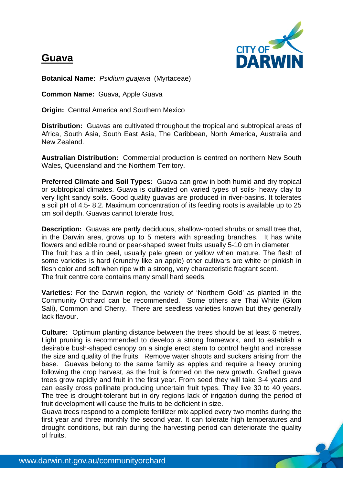## **Guava**



**Botanical Name:** *Psidium guajava* (Myrtaceae)

**Common Name:** Guava, Apple Guava

**Origin:** Central America and Southern Mexico

**Distribution:** Guavas are cultivated throughout the tropical and subtropical areas of Africa, South Asia, South East Asia, The Caribbean, North America, Australia and New Zealand.

**Australian Distribution:** Commercial production is **c**entred on northern New South Wales, Queensland and the Northern Territory.

**Preferred Climate and Soil Types:** Guava can grow in both humid and dry tropical or subtropical climates. Guava is cultivated on varied types of soils- heavy clay to very light sandy soils. Good quality guavas are produced in river-basins. It tolerates a soil pH of 4.5- 8.2. Maximum concentration of its feeding roots is available up to 25 cm soil depth. Guavas cannot tolerate frost.

**Description:** Guavas are partly deciduous, shallow-rooted shrubs or small tree that, in the Darwin area, grows up to 5 meters with spreading branches. It has white flowers and edible round or pear-shaped sweet fruits usually 5-10 cm in diameter. The fruit has a thin peel, usually pale green or yellow when mature. The flesh of some varieties is hard (crunchy like an apple) other cultivars are white or pinkish in flesh color and soft when ripe with a strong, very characteristic fragrant scent. The fruit centre core contains many small hard seeds.

**Varieties:** For the Darwin region, the variety of 'Northern Gold' as planted in the Community Orchard can be recommended. Some others are Thai White (Glom Sali), Common and Cherry. There are seedless varieties known but they generally lack flavour.

**Culture:** Optimum planting distance between the trees should be at least 6 metres. Light pruning is recommended to develop a strong framework, and to establish a desirable bush-shaped canopy on a single erect stem to control height and increase the size and quality of the fruits. Remove water shoots and suckers arising from the base. Guavas belong to the same family as apples and require a heavy pruning following the crop harvest, as the fruit is formed on the new growth. Grafted guava trees grow rapidly and fruit in the first year. From seed they will take 3-4 years and can easily cross pollinate producing uncertain fruit types. They live 30 to 40 years. The tree is drought-tolerant but in dry regions lack of irrigation during the period of fruit development will cause the fruits to be deficient in size.

Guava trees respond to a complete fertilizer mix applied every two months during the first year and three monthly the second year. It can tolerate high temperatures and drought conditions, but rain during the harvesting period can deteriorate the quality of fruits.